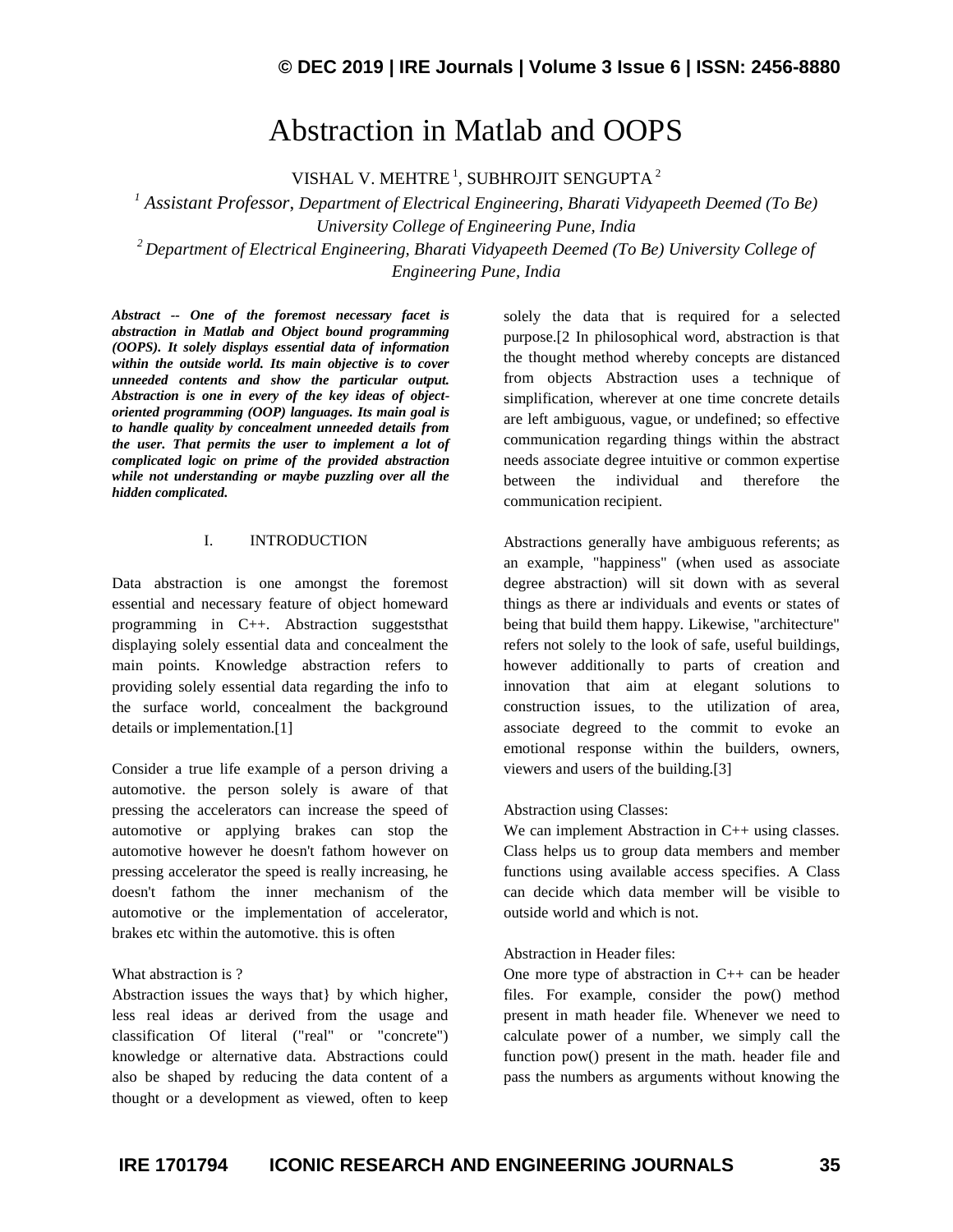# Abstraction in Matlab and OOPS

VISHAL V. MEHTRE<sup>1</sup>, SUBHROJIT SENGUPTA<sup>2</sup>

*<sup>1</sup> Assistant Professor*, *Department of Electrical Engineering, Bharati Vidyapeeth Deemed (To Be) University College of Engineering Pune, India <sup>2</sup> Department of Electrical Engineering, Bharati Vidyapeeth Deemed (To Be) University College of Engineering Pune, India*

*Abstract -- One of the foremost necessary facet is abstraction in Matlab and Object bound programming (OOPS). It solely displays essential data of information within the outside world. Its main objective is to cover unneeded contents and show the particular output. Abstraction is one in every of the key ideas of objectoriented programming (OOP) languages. Its main goal is to handle quality by concealment unneeded details from the user. That permits the user to implement a lot of complicated logic on prime of the provided abstraction while not understanding or maybe puzzling over all the hidden complicated.*

#### I. INTRODUCTION

Data abstraction is one amongst the foremost essential and necessary feature of object homeward programming in C++. Abstraction suggeststhat displaying solely essential data and concealment the main points. Knowledge abstraction refers to providing solely essential data regarding the info to the surface world, concealment the background details or implementation.[1]

Consider a true life example of a person driving a automotive. the person solely is aware of that pressing the accelerators can increase the speed of automotive or applying brakes can stop the automotive however he doesn't fathom however on pressing accelerator the speed is really increasing, he doesn't fathom the inner mechanism of the automotive or the implementation of accelerator, brakes etc within the automotive. this is often

#### What abstraction is ?

Abstraction issues the ways that} by which higher, less real ideas ar derived from the usage and classification Of literal ("real" or "concrete") knowledge or alternative data. Abstractions could also be shaped by reducing the data content of a thought or a development as viewed, often to keep

solely the data that is required for a selected purpose.[2 In philosophical word, abstraction is that the thought method whereby concepts are distanced from objects Abstraction uses a technique of simplification, wherever at one time concrete details are left ambiguous, vague, or undefined; so effective communication regarding things within the abstract needs associate degree intuitive or common expertise between the individual and therefore the communication recipient.

Abstractions generally have ambiguous referents; as an example, "happiness" (when used as associate degree abstraction) will sit down with as several things as there ar individuals and events or states of being that build them happy. Likewise, "architecture" refers not solely to the look of safe, useful buildings, however additionally to parts of creation and innovation that aim at elegant solutions to construction issues, to the utilization of area, associate degreed to the commit to evoke an emotional response within the builders, owners, viewers and users of the building.[3]

#### Abstraction using Classes:

We can implement Abstraction in C++ using classes. Class helps us to group data members and member functions using available access specifies. A Class can decide which data member will be visible to outside world and which is not.

#### Abstraction in Header files:

One more type of abstraction in C++ can be header files. For example, consider the pow() method present in math header file. Whenever we need to calculate power of a number, we simply call the function pow() present in the math. header file and pass the numbers as arguments without knowing the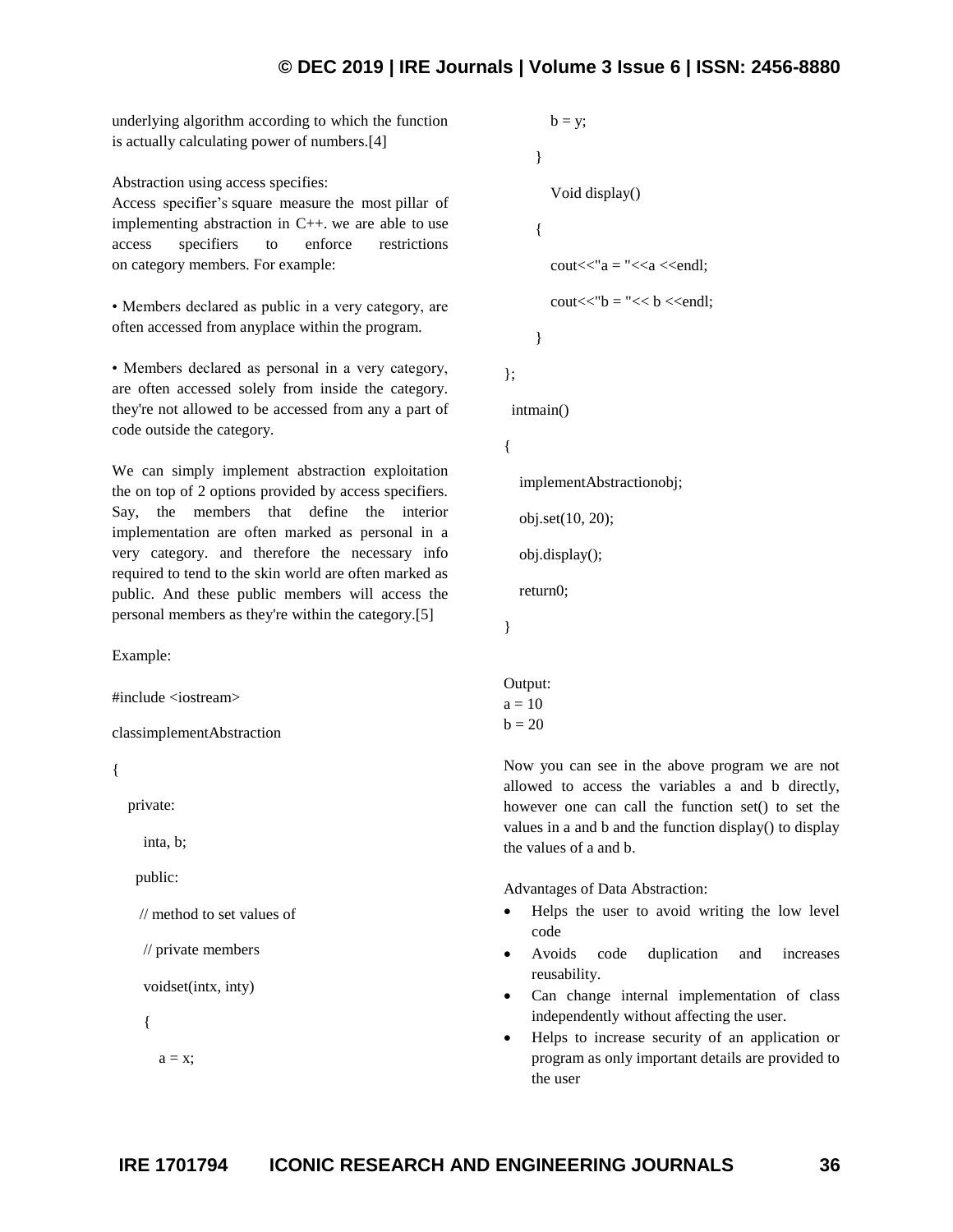## **© DEC 2019 | IRE Journals | Volume 3 Issue 6 | ISSN: 2456-8880**

underlying algorithm according to which the function is actually calculating power of numbers.[4]

Abstraction using access specifies:

Access specifier"s square measure the most pillar of implementing abstraction in C++. we are able to use access specifiers to enforce restrictions on category members. For example:

• Members declared as public in a very category, are often accessed from anyplace within the program.

• Members declared as personal in a very category, are often accessed solely from inside the category. they're not allowed to be accessed from any a part of code outside the category.

We can simply implement abstraction exploitation the on top of 2 options provided by access specifiers. Say, the members that define the interior implementation are often marked as personal in a very category. and therefore the necessary info required to tend to the skin world are often marked as public. And these public members will access the personal members as they're within the category.[5]

Example:

#include <iostream>

classimplementAbstraction

{

```
 private:
```
inta, b;

public:

// method to set values of

// private members

voidset(intx, inty)

{

 $a = x;$ 

```
b = y; } 
   Void display() 
{ 
  \text{cout}<< a = "<<a << \text{end}:
  \text{cout}<<\text{"b}="lt">< b<<\text{end}:
}
```
intmain()

```
{
```
};

implementAbstractionobj;

obj.set(10, 20);

obj.display();

return0;

}

Output:  $a = 10$  $b = 20$ 

Now you can see in the above program we are not allowed to access the variables a and b directly, however one can call the function set() to set the values in a and b and the function display() to display the values of a and b.

Advantages of Data Abstraction:

- Helps the user to avoid writing the low level code
- Avoids code duplication and increases reusability.
- Can change internal implementation of class independently without affecting the user.
- Helps to increase security of an application or program as only important details are provided to the user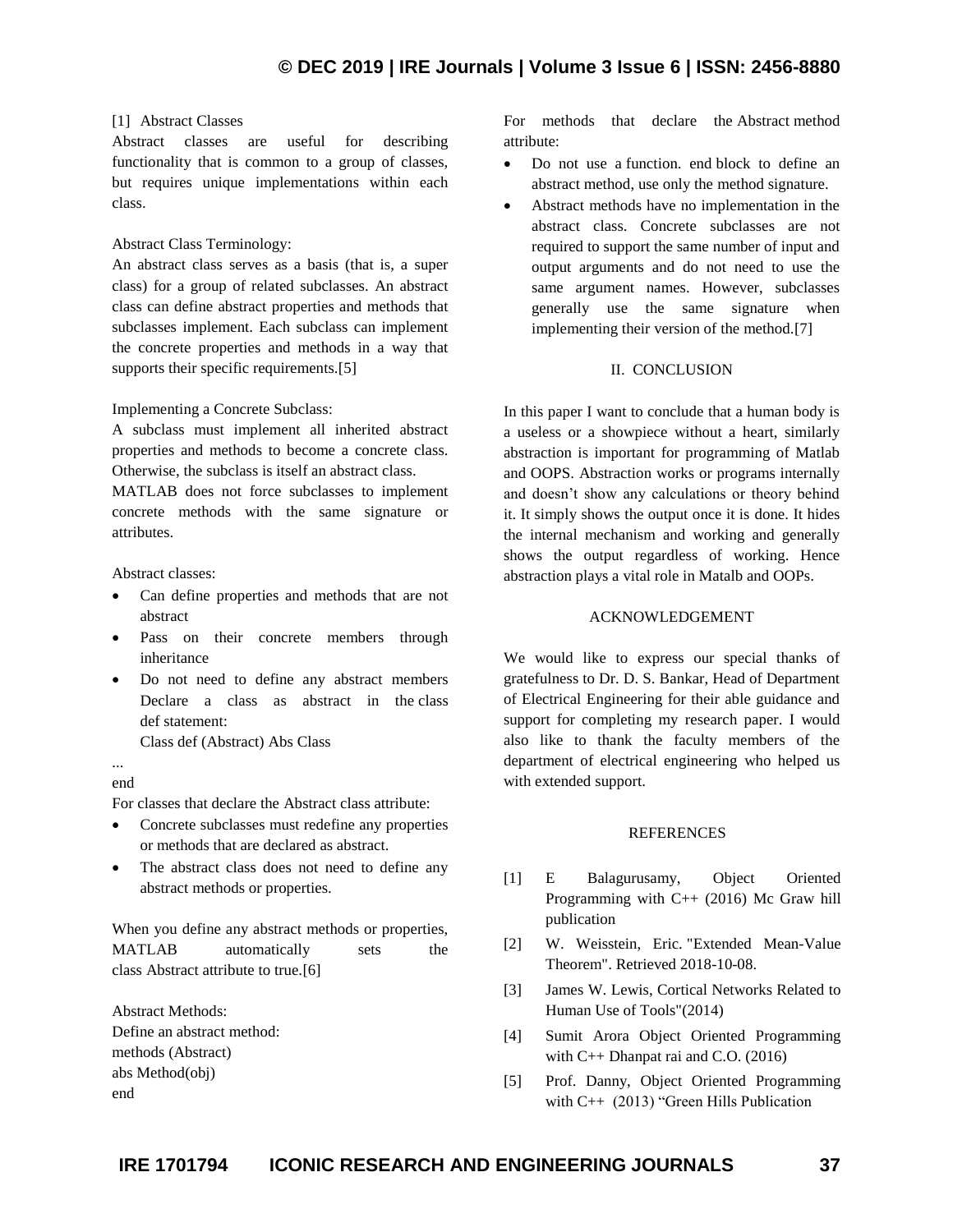#### [1] Abstract Classes

Abstract classes are useful for describing functionality that is common to a group of classes, but requires unique implementations within each class.

### Abstract Class Terminology:

An abstract class serves as a basis (that is, a super class) for a group of related subclasses. An abstract class can define abstract properties and methods that subclasses implement. Each subclass can implement the concrete properties and methods in a way that supports their specific requirements.[5]

#### Implementing a Concrete Subclass:

A subclass must implement all inherited abstract properties and methods to become a concrete class. Otherwise, the subclass is itself an abstract class.

MATLAB does not force subclasses to implement concrete methods with the same signature or attributes.

Abstract classes:

- Can define properties and methods that are not abstract
- Pass on their concrete members through inheritance
- Do not need to define any abstract members Declare a class as abstract in the class def statement:
	- Class def (Abstract) Abs Class

#### ... end

For classes that declare the Abstract class attribute:

- Concrete subclasses must redefine any properties or methods that are declared as abstract.
- The abstract class does not need to define any abstract methods or properties.

When you define any abstract methods or properties, MATLAB automatically sets the class Abstract attribute to true.[6]

Abstract Methods: Define an abstract method: methods (Abstract) abs Method(obj) end

For methods that declare the Abstract method attribute:

- Do not use a function. end block to define an abstract method, use only the method signature.
- Abstract methods have no implementation in the abstract class. Concrete subclasses are not required to support the same number of input and output arguments and do not need to use the same argument names. However, subclasses generally use the same signature when implementing their version of the method.[7]

### II. CONCLUSION

In this paper I want to conclude that a human body is a useless or a showpiece without a heart, similarly abstraction is important for programming of Matlab and OOPS. Abstraction works or programs internally and doesn"t show any calculations or theory behind it. It simply shows the output once it is done. It hides the internal mechanism and working and generally shows the output regardless of working. Hence abstraction plays a vital role in Matalb and OOPs.

#### ACKNOWLEDGEMENT

We would like to express our special thanks of gratefulness to Dr. D. S. Bankar, Head of Department of Electrical Engineering for their able guidance and support for completing my research paper. I would also like to thank the faculty members of the department of electrical engineering who helped us with extended support.

#### REFERENCES

- [1] E Balagurusamy, Object Oriented Programming with C++ (2016) Mc Graw hill publication
- [2] W. Weisstein, Eric. "Extended Mean-Value Theorem". Retrieved 2018-10-08.
- [3] James W. Lewis, Cortical Networks Related to Human Use of Tools"(2014)
- [4] Sumit Arora Object Oriented Programming with C++ Dhanpat rai and C.O. (2016)
- [5] Prof. Danny, Object Oriented Programming with C++ (2013) "Green Hills Publication